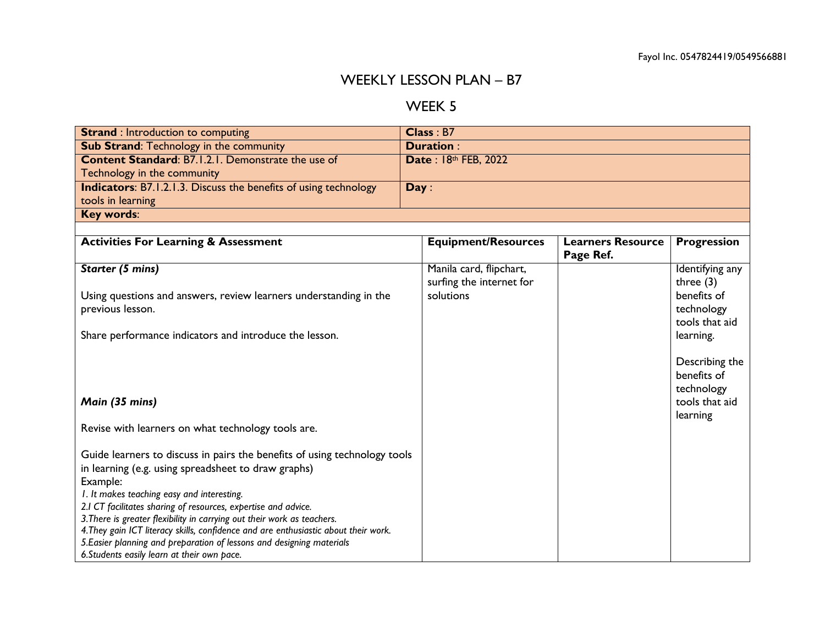## WEEKLY LESSON PLAN – B7

## WEEK 5

| <b>Strand</b> : Introduction to computing                                           |      | Class: B7                  |                          |                    |
|-------------------------------------------------------------------------------------|------|----------------------------|--------------------------|--------------------|
| <b>Sub Strand: Technology in the community</b>                                      |      | Duration:                  |                          |                    |
| <b>Content Standard: B7.1.2.1. Demonstrate the use of</b>                           |      | Date: 18th FEB, 2022       |                          |                    |
| Technology in the community                                                         |      |                            |                          |                    |
| <b>Indicators:</b> B7.1.2.1.3. Discuss the benefits of using technology             | Day: |                            |                          |                    |
| tools in learning                                                                   |      |                            |                          |                    |
| Key words:                                                                          |      |                            |                          |                    |
|                                                                                     |      |                            |                          |                    |
| <b>Activities For Learning &amp; Assessment</b>                                     |      | <b>Equipment/Resources</b> | <b>Learners Resource</b> | <b>Progression</b> |
|                                                                                     |      |                            | Page Ref.                |                    |
| <b>Starter (5 mins)</b>                                                             |      | Manila card, flipchart,    |                          | Identifying any    |
|                                                                                     |      | surfing the internet for   |                          | three $(3)$        |
| Using questions and answers, review learners understanding in the                   |      | solutions                  |                          | benefits of        |
| previous lesson.                                                                    |      |                            |                          | technology         |
|                                                                                     |      |                            |                          | tools that aid     |
| Share performance indicators and introduce the lesson.                              |      |                            |                          | learning.          |
|                                                                                     |      |                            |                          |                    |
|                                                                                     |      |                            |                          | Describing the     |
|                                                                                     |      |                            |                          | benefits of        |
|                                                                                     |      |                            |                          | technology         |
| Main (35 mins)                                                                      |      |                            |                          | tools that aid     |
|                                                                                     |      |                            |                          | learning           |
| Revise with learners on what technology tools are.                                  |      |                            |                          |                    |
|                                                                                     |      |                            |                          |                    |
| Guide learners to discuss in pairs the benefits of using technology tools           |      |                            |                          |                    |
| in learning (e.g. using spreadsheet to draw graphs)                                 |      |                            |                          |                    |
| Example:                                                                            |      |                            |                          |                    |
| I. It makes teaching easy and interesting.                                          |      |                            |                          |                    |
| 2.1 CT facilitates sharing of resources, expertise and advice.                      |      |                            |                          |                    |
| 3. There is greater flexibility in carrying out their work as teachers.             |      |                            |                          |                    |
| 4. They gain ICT literacy skills, confidence and are enthusiastic about their work. |      |                            |                          |                    |
| 5. Easier planning and preparation of lessons and designing materials               |      |                            |                          |                    |
| 6. Students easily learn at their own pace.                                         |      |                            |                          |                    |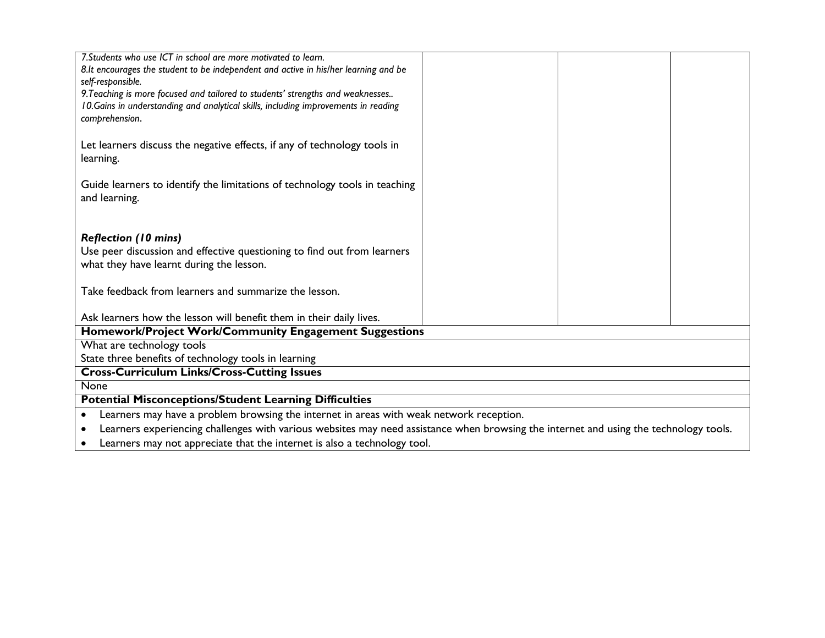| 7. Students who use ICT in school are more motivated to learn.                                                                        |  |  |  |
|---------------------------------------------------------------------------------------------------------------------------------------|--|--|--|
| 8.It encourages the student to be independent and active in his/her learning and be                                                   |  |  |  |
| self-responsible.                                                                                                                     |  |  |  |
| 9. Teaching is more focused and tailored to students' strengths and weaknesses                                                        |  |  |  |
| 10. Gains in understanding and analytical skills, including improvements in reading                                                   |  |  |  |
| comprehension.                                                                                                                        |  |  |  |
|                                                                                                                                       |  |  |  |
| Let learners discuss the negative effects, if any of technology tools in                                                              |  |  |  |
| learning.                                                                                                                             |  |  |  |
|                                                                                                                                       |  |  |  |
| Guide learners to identify the limitations of technology tools in teaching                                                            |  |  |  |
| and learning.                                                                                                                         |  |  |  |
|                                                                                                                                       |  |  |  |
|                                                                                                                                       |  |  |  |
| <b>Reflection (10 mins)</b>                                                                                                           |  |  |  |
| Use peer discussion and effective questioning to find out from learners                                                               |  |  |  |
| what they have learnt during the lesson.                                                                                              |  |  |  |
|                                                                                                                                       |  |  |  |
| Take feedback from learners and summarize the lesson.                                                                                 |  |  |  |
|                                                                                                                                       |  |  |  |
| Ask learners how the lesson will benefit them in their daily lives.<br>Homework/Project Work/Community Engagement Suggestions         |  |  |  |
| What are technology tools                                                                                                             |  |  |  |
|                                                                                                                                       |  |  |  |
| State three benefits of technology tools in learning                                                                                  |  |  |  |
| <b>Cross-Curriculum Links/Cross-Cutting Issues</b>                                                                                    |  |  |  |
| None                                                                                                                                  |  |  |  |
| <b>Potential Misconceptions/Student Learning Difficulties</b>                                                                         |  |  |  |
| Learners may have a problem browsing the internet in areas with weak network reception.                                               |  |  |  |
| Learners experiencing challenges with various websites may need assistance when browsing the internet and using the technology tools. |  |  |  |

Learners may not appreciate that the internet is also a technology tool.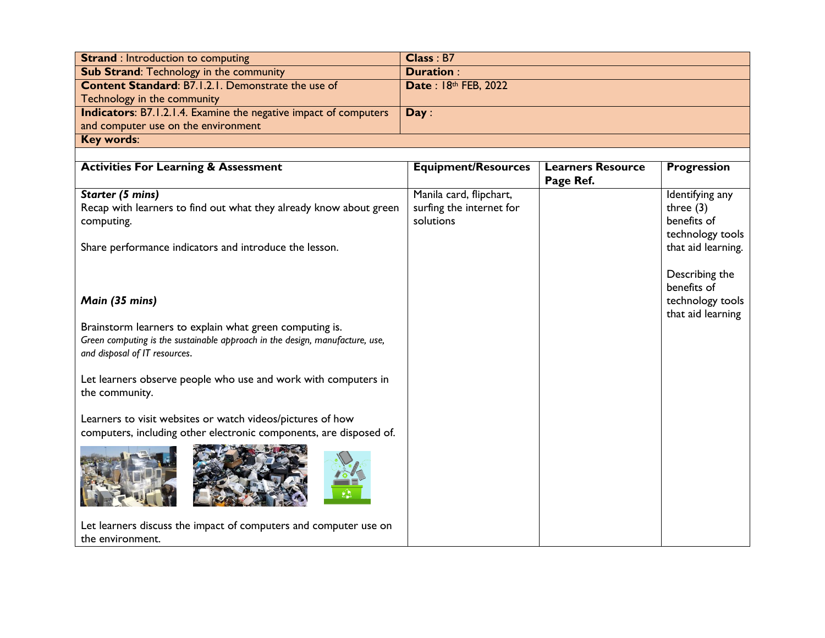| <b>Strand: Introduction to computing</b>                                | Class : B7           |
|-------------------------------------------------------------------------|----------------------|
| <b>Sub Strand: Technology in the community</b>                          | <b>Duration:</b>     |
| <b>Content Standard: B7.1.2.1. Demonstrate the use of</b>               | Date: 18th FEB, 2022 |
| Technology in the community                                             |                      |
| <b>Indicators:</b> B7.1.2.1.4. Examine the negative impact of computers | Day:                 |
| and computer use on the environment                                     |                      |
| <b>Key words:</b>                                                       |                      |

| <b>Activities For Learning &amp; Assessment</b>                                                                                                                          | <b>Equipment/Resources</b>                                       | <b>Learners Resource</b><br>Page Ref. | <b>Progression</b>                                                |
|--------------------------------------------------------------------------------------------------------------------------------------------------------------------------|------------------------------------------------------------------|---------------------------------------|-------------------------------------------------------------------|
| Starter (5 mins)<br>Recap with learners to find out what they already know about green<br>computing.                                                                     | Manila card, flipchart,<br>surfing the internet for<br>solutions |                                       | Identifying any<br>three $(3)$<br>benefits of<br>technology tools |
| Share performance indicators and introduce the lesson.                                                                                                                   |                                                                  |                                       | that aid learning.<br>Describing the<br>benefits of               |
| Main (35 mins)                                                                                                                                                           |                                                                  |                                       | technology tools<br>that aid learning                             |
| Brainstorm learners to explain what green computing is.<br>Green computing is the sustainable approach in the design, manufacture, use,<br>and disposal of IT resources. |                                                                  |                                       |                                                                   |
| Let learners observe people who use and work with computers in<br>the community.                                                                                         |                                                                  |                                       |                                                                   |
| Learners to visit websites or watch videos/pictures of how<br>computers, including other electronic components, are disposed of.                                         |                                                                  |                                       |                                                                   |
|                                                                                                                                                                          |                                                                  |                                       |                                                                   |
| Let learners discuss the impact of computers and computer use on<br>the environment.                                                                                     |                                                                  |                                       |                                                                   |